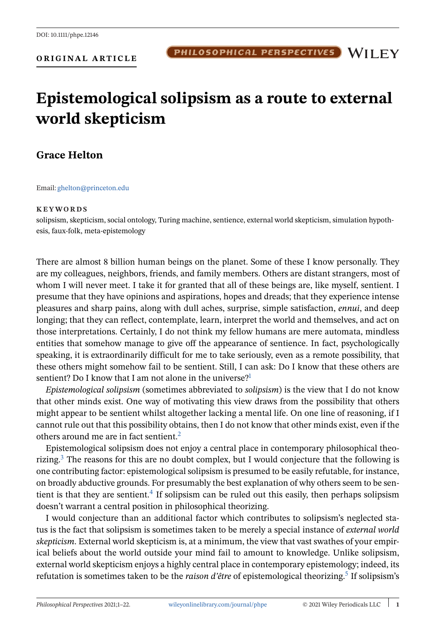**ORIGINAL ARTICLE**

PHILOSOPHICAL PERSPECTIVES WILEY

# **Epistemological solipsism as a route to external world skepticism**

## **Grace Helton**

Email: [ghelton@princeton.edu](mailto:ghelton@princeton.edu)

#### **KEYWORDS**

solipsism, skepticism, social ontology, Turing machine, sentience, external world skepticism, simulation hypothesis, faux-folk, meta-epistemology

There are almost 8 billion human beings on the planet. Some of these I know personally. They are my colleagues, neighbors, friends, and family members. Others are distant strangers, most of whom I will never meet. I take it for granted that all of these beings are, like myself, sentient. I presume that they have opinions and aspirations, hopes and dreads; that they experience intense pleasures and sharp pains, along with dull aches, surprise, simple satisfaction, *ennui*, and deep longing; that they can reflect, contemplate, learn, interpret the world and themselves, and act on those interpretations. Certainly, I do not think my fellow humans are mere automata, mindless entities that somehow manage to give off the appearance of sentience. In fact, psychologically speaking, it is extraordinarily difficult for me to take seriously, even as a remote possibility, that these others might somehow fail to be sentient. Still, I can ask: Do I know that these others are sentient[?](#page-18-0) Do I know that I am not alone in the universe?<sup>1</sup>

*Epistemological solipsism* (sometimes abbreviated to *solipsism*) is the view that I do not know that other minds exist. One way of motivating this view draws from the possibility that others might appear to be sentient whilst altogether lacking a mental life. On one line of reasoning, if I cannot rule out that this possibility obtains, then I do not know that other minds exist, even if the others around me are in fact sentient[.](#page-18-0)<sup>2</sup>

Epistemological solipsism does not enjoy a central place in contemporary philosophical theorizing[.](#page-18-0)3 The reasons for this are no doubt complex, but I would conjecture that the following is one contributing factor: epistemological solipsism is presumed to be easily refutable, for instance, on broadly abductive grounds. For presumably the best explanation of why others seem to be sen-tient is that they are sentient[.](#page-18-0)<sup>4</sup> If solipsism can be ruled out this easily, then perhaps solipsism doesn't warrant a central position in philosophical theorizing.

I would conjecture than an additional factor which contributes to solipsism's neglected status is the fact that solipsism is sometimes taken to be merely a special instance of *external world skepticism*. External world skepticism is, at a minimum, the view that vast swathes of your empirical beliefs about the world outside your mind fail to amount to knowledge. Unlike solipsism, external world skepticism enjoys a highly central place in contemporary epistemology; indeed, its refutation is sometimes taken to be the *raison d'être* of epistemological theorizing[.](#page-18-0)<sup>5</sup> If solipsism's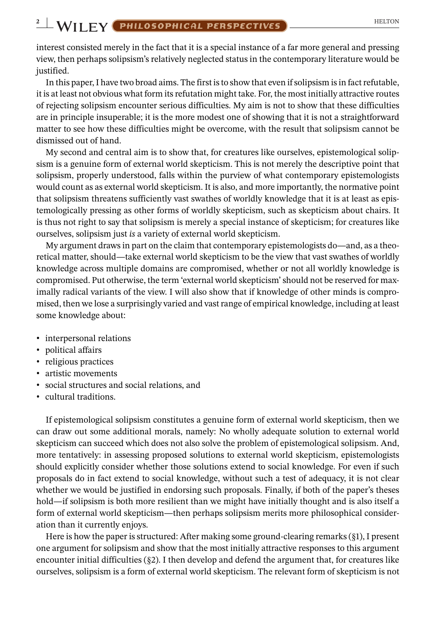interest consisted merely in the fact that it is a special instance of a far more general and pressing view, then perhaps solipsism's relatively neglected status in the contemporary literature would be justified.

In this paper, I have two broad aims. The first is to show that even if solipsism is in fact refutable, it is at least not obvious what form its refutation might take. For, the most initially attractive routes of rejecting solipsism encounter serious difficulties. My aim is not to show that these difficulties are in principle insuperable; it is the more modest one of showing that it is not a straightforward matter to see how these difficulties might be overcome, with the result that solipsism cannot be dismissed out of hand.

My second and central aim is to show that, for creatures like ourselves, epistemological solipsism is a genuine form of external world skepticism. This is not merely the descriptive point that solipsism, properly understood, falls within the purview of what contemporary epistemologists would count as as external world skepticism. It is also, and more importantly, the normative point that solipsism threatens sufficiently vast swathes of worldly knowledge that it is at least as epistemologically pressing as other forms of worldly skepticism, such as skepticism about chairs. It is thus not right to say that solipsism is merely a special instance of skepticism; for creatures like ourselves, solipsism just *is* a variety of external world skepticism.

My argument draws in part on the claim that contemporary epistemologists do—and, as a theoretical matter, should—take external world skepticism to be the view that vast swathes of worldly knowledge across multiple domains are compromised, whether or not all worldly knowledge is compromised. Put otherwise, the term 'external world skepticism' should not be reserved for maximally radical variants of the view. I will also show that if knowledge of other minds is compromised, then we lose a surprisingly varied and vast range of empirical knowledge, including at least some knowledge about:

- ∙ interpersonal relations
- ∙ political affairs
- ∙ religious practices
- ∙ artistic movements
- ∙ social structures and social relations, and
- ∙ cultural traditions.

If epistemological solipsism constitutes a genuine form of external world skepticism, then we can draw out some additional morals, namely: No wholly adequate solution to external world skepticism can succeed which does not also solve the problem of epistemological solipsism. And, more tentatively: in assessing proposed solutions to external world skepticism, epistemologists should explicitly consider whether those solutions extend to social knowledge. For even if such proposals do in fact extend to social knowledge, without such a test of adequacy, it is not clear whether we would be justified in endorsing such proposals. Finally, if both of the paper's theses hold—if solipsism is both more resilient than we might have initially thought and is also itself a form of external world skepticism—then perhaps solipsism merits more philosophical consideration than it currently enjoys.

Here is how the paper is structured: After making some ground-clearing remarks  $(\S1)$ , I present one argument for solipsism and show that the most initially attractive responses to this argument encounter initial difficulties  $(\S_2)$ . I then develop and defend the argument that, for creatures like ourselves, solipsism is a form of external world skepticism. The relevant form of skepticism is not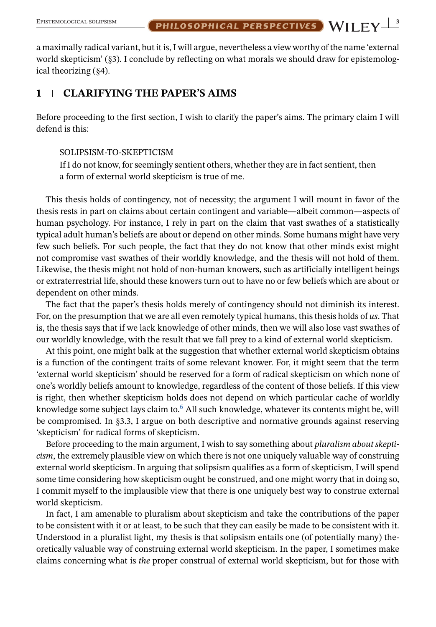a maximally radical variant, but it is, I will argue, nevertheless a view worthy of the name 'external world skepticism' (§3). I conclude by reflecting on what morals we should draw for epistemological theorizing (§4).

#### **1 CLARIFYING THE PAPER'S AIMS**

Before proceeding to the first section, I wish to clarify the paper's aims. The primary claim I will defend is this:

#### SOLIPSISM-TO-SKEPTICISM

If I do not know, for seemingly sentient others, whether they are in fact sentient, then a form of external world skepticism is true of me.

This thesis holds of contingency, not of necessity; the argument I will mount in favor of the thesis rests in part on claims about certain contingent and variable—albeit common—aspects of human psychology. For instance, I rely in part on the claim that vast swathes of a statistically typical adult human's beliefs are about or depend on other minds. Some humans might have very few such beliefs. For such people, the fact that they do not know that other minds exist might not compromise vast swathes of their worldly knowledge, and the thesis will not hold of them. Likewise, the thesis might not hold of non-human knowers, such as artificially intelligent beings or extraterrestrial life, should these knowers turn out to have no or few beliefs which are about or dependent on other minds.

The fact that the paper's thesis holds merely of contingency should not diminish its interest. For, on the presumption that we are all even remotely typical humans, this thesis holds of *us*. That is, the thesis says that if we lack knowledge of other minds, then we will also lose vast swathes of our worldly knowledge, with the result that we fall prey to a kind of external world skepticism.

At this point, one might balk at the suggestion that whether external world skepticism obtains is a function of the contingent traits of some relevant knower. For, it might seem that the term 'external world skepticism' should be reserved for a form of radical skepticism on which none of one's worldly beliefs amount to knowledge, regardless of the content of those beliefs. If this view is right, then whether skepticism holds does not depend on which particular cache of worldly knowledge some subject lays claim to[.](#page-18-0)<sup>6</sup> All such knowledge, whatever its contents might be, will be compromised. In §3.3, I argue on both descriptive and normative grounds against reserving 'skepticism' for radical forms of skepticism.

Before proceeding to the main argument, I wish to say something about *pluralism about skepticism*, the extremely plausible view on which there is not one uniquely valuable way of construing external world skepticism. In arguing that solipsism qualifies as a form of skepticism, I will spend some time considering how skepticism ought be construed, and one might worry that in doing so, I commit myself to the implausible view that there is one uniquely best way to construe external world skepticism.

In fact, I am amenable to pluralism about skepticism and take the contributions of the paper to be consistent with it or at least, to be such that they can easily be made to be consistent with it. Understood in a pluralist light, my thesis is that solipsism entails one (of potentially many) theoretically valuable way of construing external world skepticism. In the paper, I sometimes make claims concerning what is *the* proper construal of external world skepticism, but for those with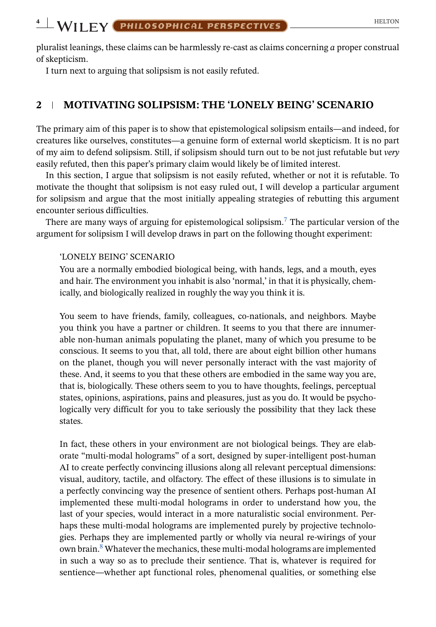pluralist leanings, these claims can be harmlessly re-cast as claims concerning *a* proper construal of skepticism.

I turn next to arguing that solipsism is not easily refuted.

## **2 MOTIVATING SOLIPSISM: THE 'LONELY BEING' SCENARIO**

The primary aim of this paper is to show that epistemological solipsism entails—and indeed, for creatures like ourselves, constitutes—a genuine form of external world skepticism. It is no part of my aim to defend solipsism. Still, if solipsism should turn out to be not just refutable but *very* easily refuted, then this paper's primary claim would likely be of limited interest.

In this section, I argue that solipsism is not easily refuted, whether or not it is refutable. To motivate the thought that solipsism is not easy ruled out, I will develop a particular argument for solipsism and argue that the most initially appealing strategies of rebutting this argument encounter serious difficulties.

There are many ways of arguing for epistemological solipsism[.](#page-18-0)<sup>7</sup> The particular version of the argument for solipsism I will develop draws in part on the following thought experiment:

#### 'LONELY BEING' SCENARIO

You are a normally embodied biological being, with hands, legs, and a mouth, eyes and hair. The environment you inhabit is also 'normal,' in that it is physically, chemically, and biologically realized in roughly the way you think it is.

You seem to have friends, family, colleagues, co-nationals, and neighbors. Maybe you think you have a partner or children. It seems to you that there are innumerable non-human animals populating the planet, many of which you presume to be conscious. It seems to you that, all told, there are about eight billion other humans on the planet, though you will never personally interact with the vast majority of these. And, it seems to you that these others are embodied in the same way you are, that is, biologically. These others seem to you to have thoughts, feelings, perceptual states, opinions, aspirations, pains and pleasures, just as you do. It would be psychologically very difficult for you to take seriously the possibility that they lack these states.

In fact, these others in your environment are not biological beings. They are elaborate "multi-modal holograms" of a sort, designed by super-intelligent post-human AI to create perfectly convincing illusions along all relevant perceptual dimensions: visual, auditory, tactile, and olfactory. The effect of these illusions is to simulate in a perfectly convincing way the presence of sentient others. Perhaps post-human AI implemented these multi-modal holograms in order to understand how you, the last of your species, would interact in a more naturalistic social environment. Perhaps these multi-modal holograms are implemented purely by projective technologies. Perhaps they are implemented partly or wholly via neural re-wirings of your own brain[.](#page-18-0)8 Whatever the mechanics, these multi-modal holograms are implemented in such a way so as to preclude their sentience. That is, whatever is required for sentience—whether apt functional roles, phenomenal qualities, or something else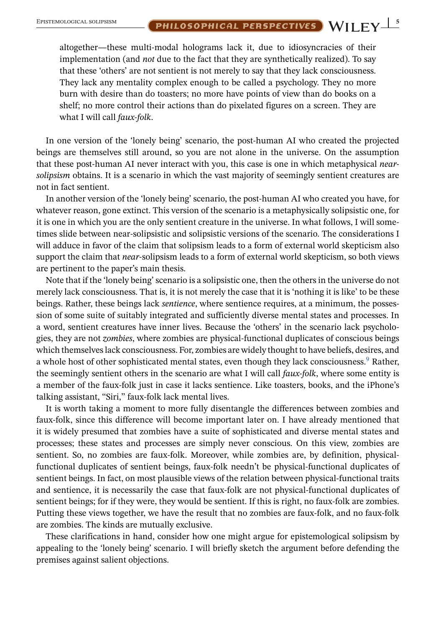altogether—these multi-modal holograms lack it, due to idiosyncracies of their implementation (and *not* due to the fact that they are synthetically realized). To say that these 'others' are not sentient is not merely to say that they lack consciousness. They lack any mentality complex enough to be called a psychology. They no more burn with desire than do toasters; no more have points of view than do books on a shelf; no more control their actions than do pixelated figures on a screen. They are what I will call *faux-folk*.

In one version of the 'lonely being' scenario, the post-human AI who created the projected beings are themselves still around, so you are not alone in the universe. On the assumption that these post-human AI never interact with you, this case is one in which metaphysical *nearsolipsism* obtains. It is a scenario in which the vast majority of seemingly sentient creatures are not in fact sentient.

In another version of the 'lonely being' scenario, the post-human AI who created you have, for whatever reason, gone extinct. This version of the scenario is a metaphysically solipsistic one, for it is one in which you are the only sentient creature in the universe. In what follows, I will sometimes slide between near-solipsistic and solipsistic versions of the scenario. The considerations I will adduce in favor of the claim that solipsism leads to a form of external world skepticism also support the claim that *near*-solipsism leads to a form of external world skepticism, so both views are pertinent to the paper's main thesis.

Note that if the 'lonely being' scenario is a solipsistic one, then the others in the universe do not merely lack consciousness. That is, it is not merely the case that it is 'nothing it is like' to be these beings. Rather, these beings lack *sentience*, where sentience requires, at a minimum, the possession of some suite of suitably integrated and sufficiently diverse mental states and processes. In a word, sentient creatures have inner lives. Because the 'others' in the scenario lack psychologies, they are not *zombies*, where zombies are physical-functional duplicates of conscious beings which themselves lack consciousness. For, zombies are widely thought to have beliefs, desires, and a whole host of other sophisticated mental states, even though they lack consciousness[.](#page-18-0)<sup>9</sup> Rather, the seemingly sentient others in the scenario are what I will call *faux-folk*, where some entity is a member of the faux-folk just in case it lacks sentience. Like toasters, books, and the iPhone's talking assistant, "Siri," faux-folk lack mental lives.

It is worth taking a moment to more fully disentangle the differences between zombies and faux-folk, since this difference will become important later on. I have already mentioned that it is widely presumed that zombies have a suite of sophisticated and diverse mental states and processes; these states and processes are simply never conscious. On this view, zombies are sentient. So, no zombies are faux-folk. Moreover, while zombies are, by definition, physicalfunctional duplicates of sentient beings, faux-folk needn't be physical-functional duplicates of sentient beings. In fact, on most plausible views of the relation between physical-functional traits and sentience, it is necessarily the case that faux-folk are not physical-functional duplicates of sentient beings; for if they were, they would be sentient. If this is right, no faux-folk are zombies. Putting these views together, we have the result that no zombies are faux-folk, and no faux-folk are zombies. The kinds are mutually exclusive.

These clarifications in hand, consider how one might argue for epistemological solipsism by appealing to the 'lonely being' scenario. I will briefly sketch the argument before defending the premises against salient objections.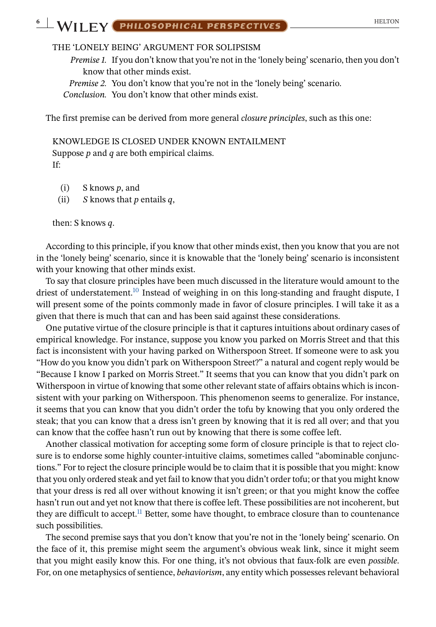## **6** WII FY PHILOSOPHICAL PERSPECTIVES

#### THE 'LONELY BEING' ARGUMENT FOR SOLIPSISM

*Premise 1.* If you don't know that you're not in the 'lonely being' scenario, then you don't know that other minds exist.

*Premise 2.* You don't know that you're not in the 'lonely being' scenario.

*Conclusion.* You don't know that other minds exist.

The first premise can be derived from more general *closure principles*, such as this one:

KNOWLEDGE IS CLOSED UNDER KNOWN ENTAILMENT Suppose *p* and *q* are both empirical claims. If:

- (i) S knows *p*, and
- (ii) *S* knows that *p* entails *q*,

then: S knows *q*.

According to this principle, if you know that other minds exist, then you know that you are not in the 'lonely being' scenario, since it is knowable that the 'lonely being' scenario is inconsistent with your knowing that other minds exist.

To say that closure principles have been much discussed in the literature would amount to the driest of understatement[.](#page-18-0)<sup>10</sup> Instead of weighing in on this long-standing and fraught dispute, I will present some of the points commonly made in favor of closure principles. I will take it as a given that there is much that can and has been said against these considerations.

One putative virtue of the closure principle is that it captures intuitions about ordinary cases of empirical knowledge. For instance, suppose you know you parked on Morris Street and that this fact is inconsistent with your having parked on Witherspoon Street. If someone were to ask you "How do you know you didn't park on Witherspoon Street?" a natural and cogent reply would be "Because I know I parked on Morris Street." It seems that you can know that you didn't park on Witherspoon in virtue of knowing that some other relevant state of affairs obtains which is inconsistent with your parking on Witherspoon. This phenomenon seems to generalize. For instance, it seems that you can know that you didn't order the tofu by knowing that you only ordered the steak; that you can know that a dress isn't green by knowing that it is red all over; and that you can know that the coffee hasn't run out by knowing that there is some coffee left.

Another classical motivation for accepting some form of closure principle is that to reject closure is to endorse some highly counter-intuitive claims, sometimes called "abominable conjunctions." For to reject the closure principle would be to claim that it is possible that you might: know that you only ordered steak and yet fail to know that you didn't order tofu; or that you might know that your dress is red all over without knowing it isn't green; or that you might know the coffee hasn't run out and yet not know that there is coffee left. These possibilities are not incoherent, but they are difficult to accept[.](#page-18-0)<sup>11</sup> Better, some have thought, to embrace closure than to countenance such possibilities.

The second premise says that you don't know that you're not in the 'lonely being' scenario. On the face of it, this premise might seem the argument's obvious weak link, since it might seem that you might easily know this. For one thing, it's not obvious that faux-folk are even *possible*. For, on one metaphysics of sentience, *behaviorism*, any entity which possesses relevant behavioral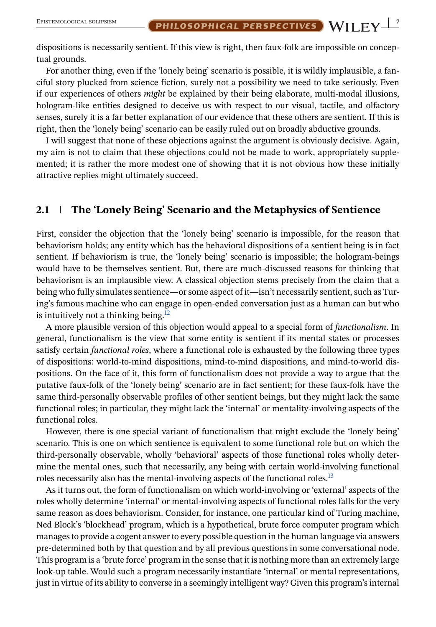dispositions is necessarily sentient. If this view is right, then faux-folk are impossible on conceptual grounds.

For another thing, even if the 'lonely being' scenario is possible, it is wildly implausible, a fanciful story plucked from science fiction, surely not a possibility we need to take seriously. Even if our experiences of others *might* be explained by their being elaborate, multi-modal illusions, hologram-like entities designed to deceive us with respect to our visual, tactile, and olfactory senses, surely it is a far better explanation of our evidence that these others are sentient. If this is right, then the 'lonely being' scenario can be easily ruled out on broadly abductive grounds.

I will suggest that none of these objections against the argument is obviously decisive. Again, my aim is not to claim that these objections could not be made to work, appropriately supplemented; it is rather the more modest one of showing that it is not obvious how these initially attractive replies might ultimately succeed.

## **2.1 The 'Lonely Being' Scenario and the Metaphysics of Sentience**

First, consider the objection that the 'lonely being' scenario is impossible, for the reason that behaviorism holds; any entity which has the behavioral dispositions of a sentient being is in fact sentient. If behaviorism is true, the 'lonely being' scenario is impossible; the hologram-beings would have to be themselves sentient. But, there are much-discussed reasons for thinking that behaviorism is an implausible view. A classical objection stems precisely from the claim that a being who fully simulates sentience—or some aspect of it—isn't necessarily sentient, such as Turing's famous machine who can engage in open-ended conversation just as a human can but who is intuitively not a thinking being[.](#page-18-0)<sup>12</sup>

A more plausible version of this objection would appeal to a special form of *functionalism*. In general, functionalism is the view that some entity is sentient if its mental states or processes satisfy certain *functional roles*, where a functional role is exhausted by the following three types of dispositions: world-to-mind dispositions, mind-to-mind dispositions, and mind-to-world dispositions. On the face of it, this form of functionalism does not provide a way to argue that the putative faux-folk of the 'lonely being' scenario are in fact sentient; for these faux-folk have the same third-personally observable profiles of other sentient beings, but they might lack the same functional roles; in particular, they might lack the 'internal' or mentality-involving aspects of the functional roles.

However, there is one special variant of functionalism that might exclude the 'lonely being' scenario. This is one on which sentience is equivalent to some functional role but on which the third-personally observable, wholly 'behavioral' aspects of those functional roles wholly determine the mental ones, such that necessarily, any being with certain world-involving functional roles necessarily also has the mental-involving aspects of the functional roles[.](#page-18-0)<sup>13</sup>

As it turns out, the form of functionalism on which world-involving or 'external' aspects of the roles wholly determine 'internal' or mental-involving aspects of functional roles falls for the very same reason as does behaviorism. Consider, for instance, one particular kind of Turing machine, Ned Block's 'blockhead' program, which is a hypothetical, brute force computer program which manages to provide a cogent answer to every possible question in the human language via answers pre-determined both by that question and by all previous questions in some conversational node. This program is a 'brute force' program in the sense that it is nothing more than an extremely large look-up table. Would such a program necessarily instantiate 'internal' or mental representations, just in virtue of its ability to converse in a seemingly intelligent way? Given this program's internal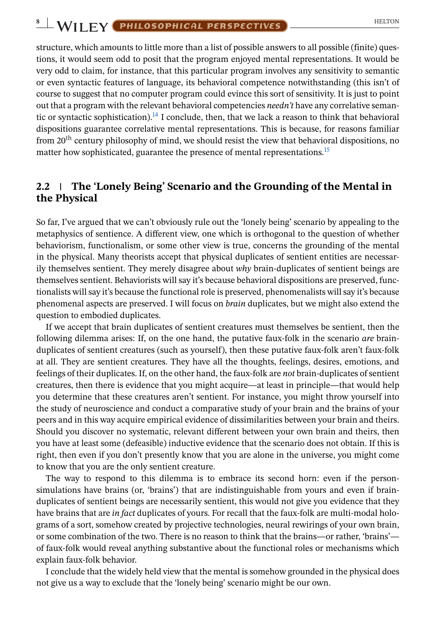**8** WILEY **PHILOSOPHICAL PERSPECTIVES** 

structure, which amounts to little more than a list of possible answers to all possible (finite) questions, it would seem odd to posit that the program enjoyed mental representations. It would be very odd to claim, for instance, that this particular program involves any sensitivity to semantic or even syntactic features of language, its behavioral competence notwithstanding (this isn't of course to suggest that no computer program could evince this sort of sensitivity. It is just to point out that a program with the relevant behavioral competencies *needn't* have any correlative seman-tic or syntactic sophistication)[.](#page-18-0)<sup>14</sup> I conclude, then, that we lack a reason to think that behavioral dispositions guarantee correlative mental representations. This is because, for reasons familiar from 20<sup>th</sup> century philosophy of mind, we should resist the view that behavioral dispositions, no matter how sophisticated, guarantee the presence of mental representations[.](#page-18-0)<sup>15</sup>

#### **2.2 The 'Lonely Being' Scenario and the Grounding of the Mental in the Physical**

So far, I've argued that we can't obviously rule out the 'lonely being' scenario by appealing to the metaphysics of sentience. A different view, one which is orthogonal to the question of whether behaviorism, functionalism, or some other view is true, concerns the grounding of the mental in the physical. Many theorists accept that physical duplicates of sentient entities are necessarily themselves sentient. They merely disagree about *why* brain-duplicates of sentient beings are themselves sentient. Behaviorists will say it's because behavioral dispositions are preserved, functionalists will say it's because the functional role is preserved, phenomenalists will say it's because phenomenal aspects are preserved. I will focus on *brain* duplicates, but we might also extend the question to embodied duplicates.

If we accept that brain duplicates of sentient creatures must themselves be sentient, then the following dilemma arises: If, on the one hand, the putative faux-folk in the scenario *are* brainduplicates of sentient creatures (such as yourself), then these putative faux-folk aren't faux-folk at all. They are sentient creatures. They have all the thoughts, feelings, desires, emotions, and feelings of their duplicates. If, on the other hand, the faux-folk are *not* brain-duplicates of sentient creatures, then there is evidence that you might acquire—at least in principle—that would help you determine that these creatures aren't sentient. For instance, you might throw yourself into the study of neuroscience and conduct a comparative study of your brain and the brains of your peers and in this way acquire empirical evidence of dissimilarities between your brain and theirs. Should you discover no systematic, relevant different between your own brain and theirs, then you have at least some (defeasible) inductive evidence that the scenario does not obtain. If this is right, then even if you don't presently know that you are alone in the universe, you might come to know that you are the only sentient creature.

The way to respond to this dilemma is to embrace its second horn: even if the personsimulations have brains (or, 'brains') that are indistinguishable from yours and even if brainduplicates of sentient beings are necessarily sentient, this would not give you evidence that they have brains that are *in fact* duplicates of yours. For recall that the faux-folk are multi-modal holograms of a sort, somehow created by projective technologies, neural rewirings of your own brain, or some combination of the two. There is no reason to think that the brains—or rather, 'brains' of faux-folk would reveal anything substantive about the functional roles or mechanisms which explain faux-folk behavior.

I conclude that the widely held view that the mental is somehow grounded in the physical does not give us a way to exclude that the 'lonely being' scenario might be our own.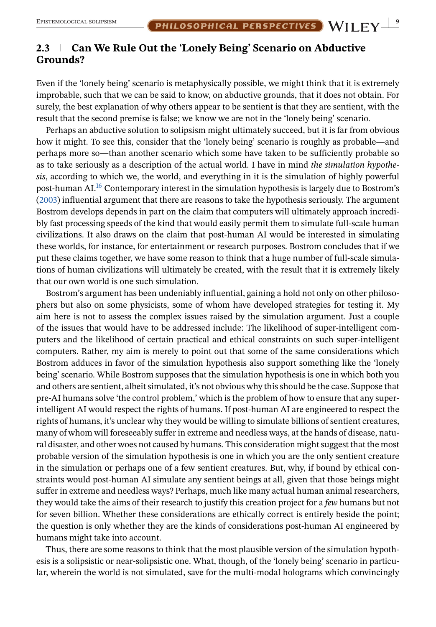## **2.3 Can We Rule Out the 'Lonely Being' Scenario on Abductive Grounds?**

Even if the 'lonely being' scenario is metaphysically possible, we might think that it is extremely improbable, such that we can be said to know, on abductive grounds, that it does not obtain. For surely, the best explanation of why others appear to be sentient is that they are sentient, with the result that the second premise is false; we know we are not in the 'lonely being' scenario.

Perhaps an abductive solution to solipsism might ultimately succeed, but it is far from obvious how it might. To see this, consider that the 'lonely being' scenario is roughly as probable—and perhaps more so—than another scenario which some have taken to be sufficiently probable so as to take seriously as a description of the actual world. I have in mind *the simulation hypothesis*, according to which we, the world, and everything in it is the simulation of highly powerful post-human AI[.](#page-18-0)16 Contemporary interest in the simulation hypothesis is largely due to Bostrom's [\(2003\)](#page-20-0) influential argument that there are reasons to take the hypothesis seriously. The argument Bostrom develops depends in part on the claim that computers will ultimately approach incredibly fast processing speeds of the kind that would easily permit them to simulate full-scale human civilizations. It also draws on the claim that post-human AI would be interested in simulating these worlds, for instance, for entertainment or research purposes. Bostrom concludes that if we put these claims together, we have some reason to think that a huge number of full-scale simulations of human civilizations will ultimately be created, with the result that it is extremely likely that our own world is one such simulation.

Bostrom's argument has been undeniably influential, gaining a hold not only on other philosophers but also on some physicists, some of whom have developed strategies for testing it. My aim here is not to assess the complex issues raised by the simulation argument. Just a couple of the issues that would have to be addressed include: The likelihood of super-intelligent computers and the likelihood of certain practical and ethical constraints on such super-intelligent computers. Rather, my aim is merely to point out that some of the same considerations which Bostrom adduces in favor of the simulation hypothesis also support something like the 'lonely being' scenario. While Bostrom supposes that the simulation hypothesis is one in which both you and others are sentient, albeit simulated, it's not obvious why this should be the case. Suppose that pre-AI humans solve 'the control problem,' which is the problem of how to ensure that any superintelligent AI would respect the rights of humans. If post-human AI are engineered to respect the rights of humans, it's unclear why they would be willing to simulate billions of sentient creatures, many of whom will foreseeably suffer in extreme and needless ways, at the hands of disease, natural disaster, and other woes not caused by humans. This consideration might suggest that the most probable version of the simulation hypothesis is one in which you are the only sentient creature in the simulation or perhaps one of a few sentient creatures. But, why, if bound by ethical constraints would post-human AI simulate any sentient beings at all, given that those beings might suffer in extreme and needless ways? Perhaps, much like many actual human animal researchers, they would take the aims of their research to justify this creation project for a *few* humans but not for seven billion. Whether these considerations are ethically correct is entirely beside the point; the question is only whether they are the kinds of considerations post-human AI engineered by humans might take into account.

Thus, there are some reasons to think that the most plausible version of the simulation hypothesis is a solipsistic or near-solipsistic one. What, though, of the 'lonely being' scenario in particular, wherein the world is not simulated, save for the multi-modal holograms which convincingly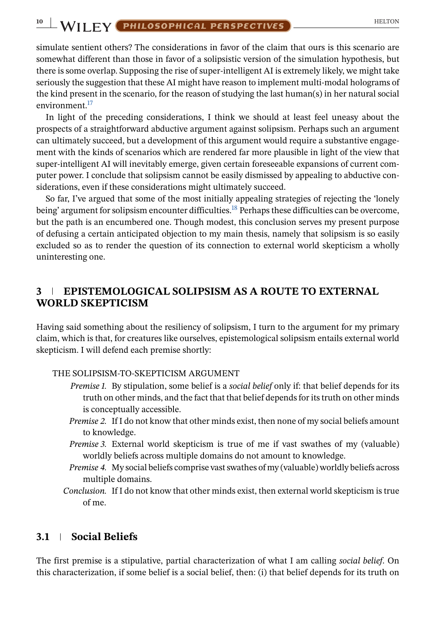**10** WII FY **PHILOSOPHICAL PERSPECTIVES** 

simulate sentient others? The considerations in favor of the claim that ours is this scenario are somewhat different than those in favor of a solipsistic version of the simulation hypothesis, but there is some overlap. Supposing the rise of super-intelligent AI is extremely likely, we might take seriously the suggestion that these AI might have reason to implement multi-modal holograms of the kind present in the scenario, for the reason of studying the last human(s) in her natural social environment[.](#page-18-0)<sup>17</sup>

In light of the preceding considerations, I think we should at least feel uneasy about the prospects of a straightforward abductive argument against solipsism. Perhaps such an argument can ultimately succeed, but a development of this argument would require a substantive engagement with the kinds of scenarios which are rendered far more plausible in light of the view that super-intelligent AI will inevitably emerge, given certain foreseeable expansions of current computer power. I conclude that solipsism cannot be easily dismissed by appealing to abductive considerations, even if these considerations might ultimately succeed.

So far, I've argued that some of the most initially appealing strategies of rejecting the 'lonely being' argument for solipsism encounter difficulties[.](#page-18-0)<sup>18</sup> Perhaps these difficulties can be overcome, but the path is an encumbered one. Though modest, this conclusion serves my present purpose of defusing a certain anticipated objection to my main thesis, namely that solipsism is so easily excluded so as to render the question of its connection to external world skepticism a wholly uninteresting one.

## **3 EPISTEMOLOGICAL SOLIPSISM AS A ROUTE TO EXTERNAL WORLD SKEPTICISM**

Having said something about the resiliency of solipsism, I turn to the argument for my primary claim, which is that, for creatures like ourselves, epistemological solipsism entails external world skepticism. I will defend each premise shortly:

#### THE SOLIPSISM-TO-SKEPTICISM ARGUMENT

- *Premise 1.* By stipulation, some belief is a *social belief* only if: that belief depends for its truth on other minds, and the fact that that belief depends for its truth on other minds is conceptually accessible.
- *Premise 2.* If I do not know that other minds exist, then none of my social beliefs amount to knowledge.
- *Premise 3.* External world skepticism is true of me if vast swathes of my (valuable) worldly beliefs across multiple domains do not amount to knowledge.
- *Premise 4.* My social beliefs comprise vast swathes of my (valuable) worldly beliefs across multiple domains.
- *Conclusion.* If I do not know that other minds exist, then external world skepticism is true of me.

### **3.1 Social Beliefs**

The first premise is a stipulative, partial characterization of what I am calling *social belief*. On this characterization, if some belief is a social belief, then: (i) that belief depends for its truth on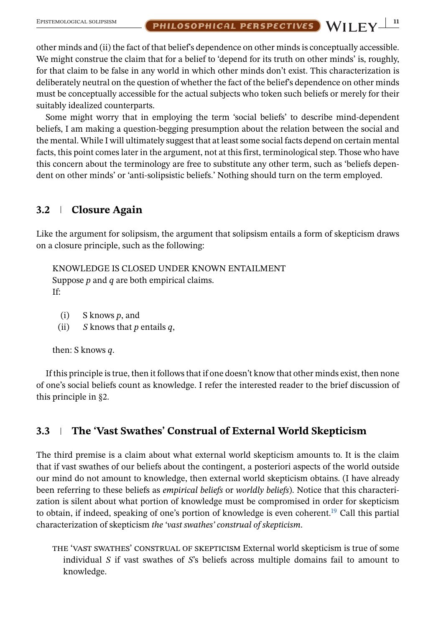other minds and (ii) the fact of that belief's dependence on other minds is conceptually accessible. We might construe the claim that for a belief to 'depend for its truth on other minds' is, roughly, for that claim to be false in any world in which other minds don't exist. This characterization is deliberately neutral on the question of whether the fact of the belief's dependence on other minds must be conceptually accessible for the actual subjects who token such beliefs or merely for their suitably idealized counterparts.

Some might worry that in employing the term 'social beliefs' to describe mind-dependent beliefs, I am making a question-begging presumption about the relation between the social and the mental. While I will ultimately suggest that at least some social facts depend on certain mental facts, this point comes later in the argument, not at this first, terminological step. Those who have this concern about the terminology are free to substitute any other term, such as 'beliefs dependent on other minds' or 'anti-solipsistic beliefs.' Nothing should turn on the term employed.

### **3.2 Closure Again**

Like the argument for solipsism, the argument that solipsism entails a form of skepticism draws on a closure principle, such as the following:

KNOWLEDGE IS CLOSED UNDER KNOWN ENTAILMENT Suppose *p* and *q* are both empirical claims. If:

- (i) S knows *p*, and
- (ii) *S* knows that *p* entails *q*,

then: S knows *q*.

If this principle is true, then it follows that if one doesn't know that other minds exist, then none of one's social beliefs count as knowledge. I refer the interested reader to the brief discussion of this principle in §2.

### **3.3 The 'Vast Swathes' Construal of External World Skepticism**

The third premise is a claim about what external world skepticism amounts to. It is the claim that if vast swathes of our beliefs about the contingent, a posteriori aspects of the world outside our mind do not amount to knowledge, then external world skepticism obtains. (I have already been referring to these beliefs as *empirical beliefs* or *worldly beliefs*). Notice that this characterization is silent about what portion of knowledge must be compromised in order for skepticism to obtain, if indeed, speaking of one's portion of knowledge is even coherent[.](#page-18-0)<sup>19</sup> Call this partial characterization of skepticism *the 'vast swathes' construal of skepticism*.

the 'vast swathes' construal of skepticism External world skepticism is true of some individual *S* if vast swathes of *S*'s beliefs across multiple domains fail to amount to knowledge.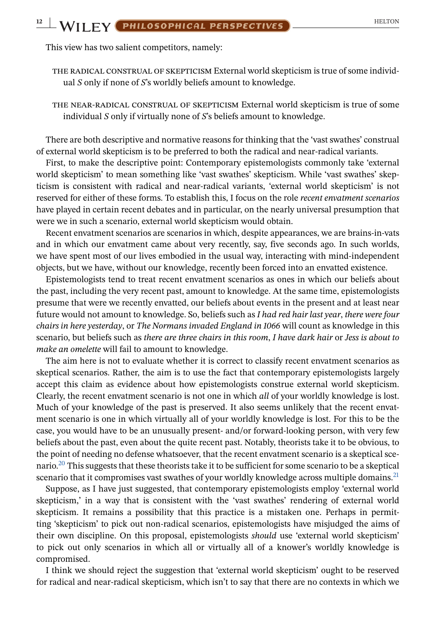This view has two salient competitors, namely:

the radical construal of skepticism External world skepticism is true of some individual *S* only if none of *S*'s worldly beliefs amount to knowledge.

the near-radical construal of skepticism External world skepticism is true of some individual *S* only if virtually none of *S*'s beliefs amount to knowledge.

There are both descriptive and normative reasons for thinking that the 'vast swathes' construal of external world skepticism is to be preferred to both the radical and near-radical variants.

First, to make the descriptive point: Contemporary epistemologists commonly take 'external world skepticism' to mean something like 'vast swathes' skepticism. While 'vast swathes' skepticism is consistent with radical and near-radical variants, 'external world skepticism' is not reserved for either of these forms. To establish this, I focus on the role *recent envatment scenarios* have played in certain recent debates and in particular, on the nearly universal presumption that were we in such a scenario, external world skepticism would obtain.

Recent envatment scenarios are scenarios in which, despite appearances, we are brains-in-vats and in which our envatment came about very recently, say, five seconds ago. In such worlds, we have spent most of our lives embodied in the usual way, interacting with mind-independent objects, but we have, without our knowledge, recently been forced into an envatted existence.

Epistemologists tend to treat recent envatment scenarios as ones in which our beliefs about the past, including the very recent past, amount to knowledge. At the same time, epistemologists presume that were we recently envatted, our beliefs about events in the present and at least near future would not amount to knowledge. So, beliefs such as *I had red hair last year*, *there were four chairs in here yesterday*, or *The Normans invaded England in 1066* will count as knowledge in this scenario, but beliefs such as *there are three chairs in this room*, *I have dark hair* or *Jess is about to make an omelette* will fail to amount to knowledge.

The aim here is not to evaluate whether it is correct to classify recent envatment scenarios as skeptical scenarios. Rather, the aim is to use the fact that contemporary epistemologists largely accept this claim as evidence about how epistemologists construe external world skepticism. Clearly, the recent envatment scenario is not one in which *all* of your worldly knowledge is lost. Much of your knowledge of the past is preserved. It also seems unlikely that the recent envatment scenario is one in which virtually all of your worldly knowledge is lost. For this to be the case, you would have to be an unusually present- and/or forward-looking person, with very few beliefs about the past, even about the quite recent past. Notably, theorists take it to be obvious, to the point of needing no defense whatsoever, that the recent envatment scenario is a skeptical sce-nario[.](#page-18-0)<sup>20</sup> This suggests that these theorists take it to be sufficient for some scenario to be a skeptical scenario that it compromises vast swathes of your worldly knowledge across multiple domains[.](#page-18-0)<sup>21</sup>

Suppose, as I have just suggested, that contemporary epistemologists employ 'external world skepticism,' in a way that is consistent with the 'vast swathes' rendering of external world skepticism. It remains a possibility that this practice is a mistaken one. Perhaps in permitting 'skepticism' to pick out non-radical scenarios, epistemologists have misjudged the aims of their own discipline. On this proposal, epistemologists *should* use 'external world skepticism' to pick out only scenarios in which all or virtually all of a knower's worldly knowledge is compromised.

I think we should reject the suggestion that 'external world skepticism' ought to be reserved for radical and near-radical skepticism, which isn't to say that there are no contexts in which we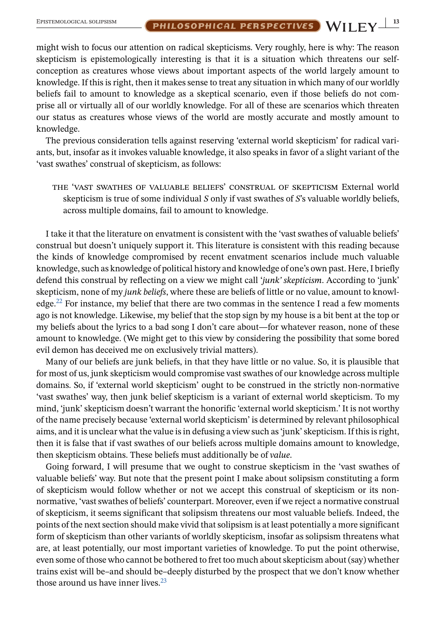might wish to focus our attention on radical skepticisms. Very roughly, here is why: The reason skepticism is epistemologically interesting is that it is a situation which threatens our selfconception as creatures whose views about important aspects of the world largely amount to knowledge. If this is right, then it makes sense to treat any situation in which many of our worldly beliefs fail to amount to knowledge as a skeptical scenario, even if those beliefs do not comprise all or virtually all of our worldly knowledge. For all of these are scenarios which threaten our status as creatures whose views of the world are mostly accurate and mostly amount to knowledge.

The previous consideration tells against reserving 'external world skepticism' for radical variants, but, insofar as it invokes valuable knowledge, it also speaks in favor of a slight variant of the 'vast swathes' construal of skepticism, as follows:

the 'vast swathes of valuable beliefs' construal of skepticism External world skepticism is true of some individual *S* only if vast swathes of *S*'s valuable worldly beliefs, across multiple domains, fail to amount to knowledge.

I take it that the literature on envatment is consistent with the 'vast swathes of valuable beliefs' construal but doesn't uniquely support it. This literature is consistent with this reading because the kinds of knowledge compromised by recent envatment scenarios include much valuable knowledge, such as knowledge of political history and knowledge of one's own past. Here, I briefly defend this construal by reflecting on a view we might call '*junk' skepticism*. According to 'junk' skepticism, none of my *junk beliefs*, where these are beliefs of little or no value, amount to knowl-edge[.](#page-18-0)<sup>22</sup> For instance, my belief that there are two commas in the sentence I read a few moments ago is not knowledge. Likewise, my belief that the stop sign by my house is a bit bent at the top or my beliefs about the lyrics to a bad song I don't care about—for whatever reason, none of these amount to knowledge. (We might get to this view by considering the possibility that some bored evil demon has deceived me on exclusively trivial matters).

Many of our beliefs are junk beliefs, in that they have little or no value. So, it is plausible that for most of us, junk skepticism would compromise vast swathes of our knowledge across multiple domains. So, if 'external world skepticism' ought to be construed in the strictly non-normative 'vast swathes' way, then junk belief skepticism is a variant of external world skepticism. To my mind, 'junk' skepticism doesn't warrant the honorific 'external world skepticism.' It is not worthy of the name precisely because 'external world skepticism' is determined by relevant philosophical aims, and it is unclear what the value is in defusing a view such as 'junk' skepticism. If this is right, then it is false that if vast swathes of our beliefs across multiple domains amount to knowledge, then skepticism obtains. These beliefs must additionally be of *value*.

Going forward, I will presume that we ought to construe skepticism in the 'vast swathes of valuable beliefs' way. But note that the present point I make about solipsism constituting a form of skepticism would follow whether or not we accept this construal of skepticism or its nonnormative, 'vast swathes of beliefs' counterpart. Moreover, even if we reject a normative construal of skepticism, it seems significant that solipsism threatens our most valuable beliefs. Indeed, the points of the next section should make vivid that solipsism is at least potentially a more significant form of skepticism than other variants of worldly skepticism, insofar as solipsism threatens what are, at least potentially, our most important varieties of knowledge. To put the point otherwise, even some of those who cannot be bothered to fret too much about skepticism about (say) whether trains exist will be–and should be–deeply disturbed by the prospect that we don't know whether those around us have inner lives[.](#page-18-0) $23$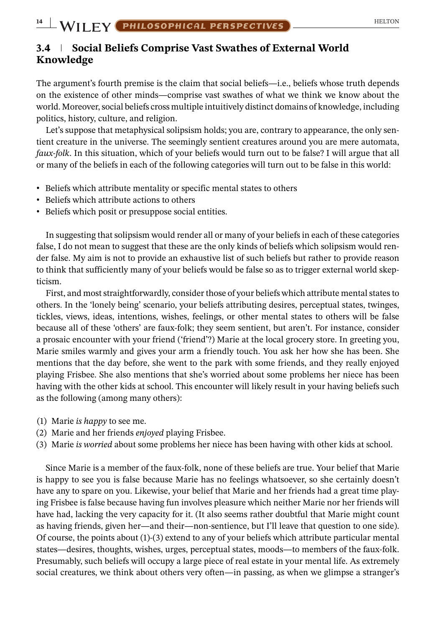## **3.4 Social Beliefs Comprise Vast Swathes of External World Knowledge**

The argument's fourth premise is the claim that social beliefs—i.e., beliefs whose truth depends on the existence of other minds—comprise vast swathes of what we think we know about the world. Moreover, social beliefs cross multiple intuitively distinct domains of knowledge, including politics, history, culture, and religion.

Let's suppose that metaphysical solipsism holds; you are, contrary to appearance, the only sentient creature in the universe. The seemingly sentient creatures around you are mere automata, *faux-folk*. In this situation, which of your beliefs would turn out to be false? I will argue that all or many of the beliefs in each of the following categories will turn out to be false in this world:

- ∙ Beliefs which attribute mentality or specific mental states to others
- ∙ Beliefs which attribute actions to others
- ∙ Beliefs which posit or presuppose social entities.

In suggesting that solipsism would render all or many of your beliefs in each of these categories false, I do not mean to suggest that these are the only kinds of beliefs which solipsism would render false. My aim is not to provide an exhaustive list of such beliefs but rather to provide reason to think that sufficiently many of your beliefs would be false so as to trigger external world skepticism.

First, and most straightforwardly, consider those of your beliefs which attribute mental states to others. In the 'lonely being' scenario, your beliefs attributing desires, perceptual states, twinges, tickles, views, ideas, intentions, wishes, feelings, or other mental states to others will be false because all of these 'others' are faux-folk; they seem sentient, but aren't. For instance, consider a prosaic encounter with your friend ('friend'?) Marie at the local grocery store. In greeting you, Marie smiles warmly and gives your arm a friendly touch. You ask her how she has been. She mentions that the day before, she went to the park with some friends, and they really enjoyed playing Frisbee. She also mentions that she's worried about some problems her niece has been having with the other kids at school. This encounter will likely result in your having beliefs such as the following (among many others):

- (1) Marie *is happy* to see me.
- (2) Marie and her friends *enjoyed* playing Frisbee.
- (3) Marie *is worried* about some problems her niece has been having with other kids at school.

Since Marie is a member of the faux-folk, none of these beliefs are true. Your belief that Marie is happy to see you is false because Marie has no feelings whatsoever, so she certainly doesn't have any to spare on you. Likewise, your belief that Marie and her friends had a great time playing Frisbee is false because having fun involves pleasure which neither Marie nor her friends will have had, lacking the very capacity for it. (It also seems rather doubtful that Marie might count as having friends, given her—and their—non-sentience, but I'll leave that question to one side). Of course, the points about (1)-(3) extend to any of your beliefs which attribute particular mental states—desires, thoughts, wishes, urges, perceptual states, moods—to members of the faux-folk. Presumably, such beliefs will occupy a large piece of real estate in your mental life. As extremely social creatures, we think about others very often—in passing, as when we glimpse a stranger's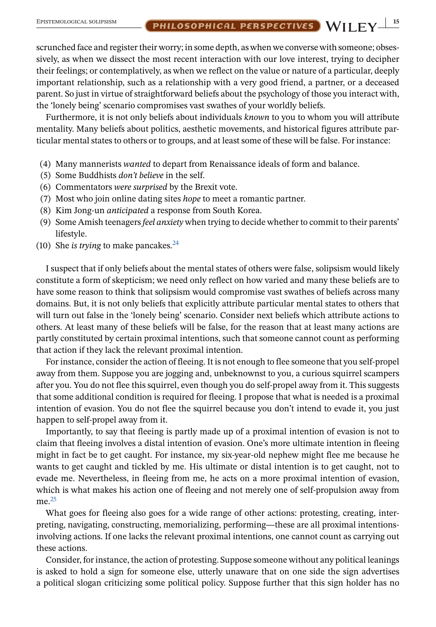scrunched face and register their worry; in some depth, as when we converse with someone; obsessively, as when we dissect the most recent interaction with our love interest, trying to decipher their feelings; or contemplatively, as when we reflect on the value or nature of a particular, deeply important relationship, such as a relationship with a very good friend, a partner, or a deceased parent. So just in virtue of straightforward beliefs about the psychology of those you interact with, the 'lonely being' scenario compromises vast swathes of your worldly beliefs.

Furthermore, it is not only beliefs about individuals *known* to you to whom you will attribute mentality. Many beliefs about politics, aesthetic movements, and historical figures attribute particular mental states to others or to groups, and at least some of these will be false. For instance:

- (4) Many mannerists *wanted* to depart from Renaissance ideals of form and balance.
- (5) Some Buddhists *don't believe* in the self.
- (6) Commentators *were surprised* by the Brexit vote.
- (7) Most who join online dating sites *hope* to meet a romantic partner.
- (8) Kim Jong-un *anticipated* a response from South Korea.
- (9) Some Amish teenagers*feel anxiety* when trying to decide whether to commit to their parents' lifestyle.
- (10) She *is trying* to make pancakes[.](#page-19-0)<sup>24</sup>

I suspect that if only beliefs about the mental states of others were false, solipsism would likely constitute a form of skepticism; we need only reflect on how varied and many these beliefs are to have some reason to think that solipsism would compromise vast swathes of beliefs across many domains. But, it is not only beliefs that explicitly attribute particular mental states to others that will turn out false in the 'lonely being' scenario. Consider next beliefs which attribute actions to others. At least many of these beliefs will be false, for the reason that at least many actions are partly constituted by certain proximal intentions, such that someone cannot count as performing that action if they lack the relevant proximal intention.

For instance, consider the action of fleeing. It is not enough to flee someone that you self-propel away from them. Suppose you are jogging and, unbeknownst to you, a curious squirrel scampers after you. You do not flee this squirrel, even though you do self-propel away from it. This suggests that some additional condition is required for fleeing. I propose that what is needed is a proximal intention of evasion. You do not flee the squirrel because you don't intend to evade it, you just happen to self-propel away from it.

Importantly, to say that fleeing is partly made up of a proximal intention of evasion is not to claim that fleeing involves a distal intention of evasion. One's more ultimate intention in fleeing might in fact be to get caught. For instance, my six-year-old nephew might flee me because he wants to get caught and tickled by me. His ultimate or distal intention is to get caught, not to evade me. Nevertheless, in fleeing from me, he acts on a more proximal intention of evasion, which is what makes his action one of fleeing and not merely one of self-propulsion away from me[.](#page-19-0)<sup>25</sup>

What goes for fleeing also goes for a wide range of other actions: protesting, creating, interpreting, navigating, constructing, memorializing, performing—these are all proximal intentionsinvolving actions. If one lacks the relevant proximal intentions, one cannot count as carrying out these actions.

Consider, for instance, the action of protesting. Suppose someone without any political leanings is asked to hold a sign for someone else, utterly unaware that on one side the sign advertises a political slogan criticizing some political policy. Suppose further that this sign holder has no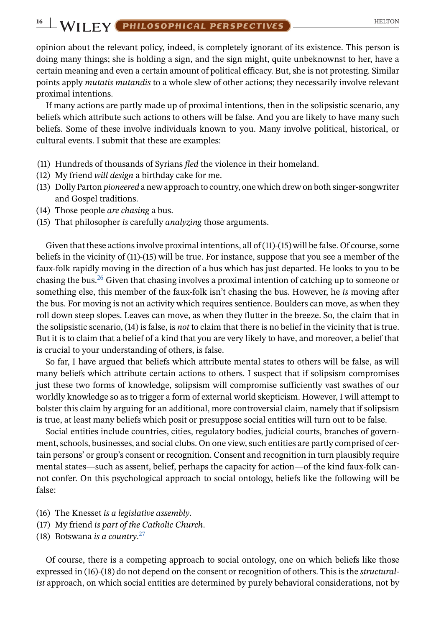opinion about the relevant policy, indeed, is completely ignorant of its existence. This person is doing many things; she is holding a sign, and the sign might, quite unbeknownst to her, have a certain meaning and even a certain amount of political efficacy. But, she is not protesting. Similar points apply *mutatis mutandis* to a whole slew of other actions; they necessarily involve relevant proximal intentions.

If many actions are partly made up of proximal intentions, then in the solipsistic scenario, any beliefs which attribute such actions to others will be false. And you are likely to have many such beliefs. Some of these involve individuals known to you. Many involve political, historical, or cultural events. I submit that these are examples:

- (11) Hundreds of thousands of Syrians *fled* the violence in their homeland.
- (12) My friend *will design* a birthday cake for me.
- (13) Dolly Parton *pioneered* a new approach to country, one which drew on both singer-songwriter and Gospel traditions.
- (14) Those people *are chasing* a bus.
- (15) That philosopher *is* carefully *analyzing* those arguments.

Given that these actions involve proximal intentions, all of  $(11)$ - $(15)$  will be false. Of course, some beliefs in the vicinity of (11)-(15) will be true. For instance, suppose that you see a member of the faux-folk rapidly moving in the direction of a bus which has just departed. He looks to you to be chasing the bus[.](#page-19-0)26 Given that chasing involves a proximal intention of catching up to someone or something else, this member of the faux-folk isn't chasing the bus. However, he *is* moving after the bus. For moving is not an activity which requires sentience. Boulders can move, as when they roll down steep slopes. Leaves can move, as when they flutter in the breeze. So, the claim that in the solipsistic scenario, (14) is false, is *not* to claim that there is no belief in the vicinity that is true. But it is to claim that a belief of a kind that you are very likely to have, and moreover, a belief that is crucial to your understanding of others, is false.

So far, I have argued that beliefs which attribute mental states to others will be false, as will many beliefs which attribute certain actions to others. I suspect that if solipsism compromises just these two forms of knowledge, solipsism will compromise sufficiently vast swathes of our worldly knowledge so as to trigger a form of external world skepticism. However, I will attempt to bolster this claim by arguing for an additional, more controversial claim, namely that if solipsism is true, at least many beliefs which posit or presuppose social entities will turn out to be false.

Social entities include countries, cities, regulatory bodies, judicial courts, branches of government, schools, businesses, and social clubs. On one view, such entities are partly comprised of certain persons' or group's consent or recognition. Consent and recognition in turn plausibly require mental states—such as assent, belief, perhaps the capacity for action—of the kind faux-folk cannot confer. On this psychological approach to social ontology, beliefs like the following will be false:

- (16) The Knesset *is a legislative assembly*.
- (17) My friend *is part of the Catholic Church*.
- (18) Botswana *is a country*[.](#page-19-0) 27

Of course, there is a competing approach to social ontology, one on which beliefs like those expressed in (16)-(18) do not depend on the consent or recognition of others. This is the *structuralist* approach, on which social entities are determined by purely behavioral considerations, not by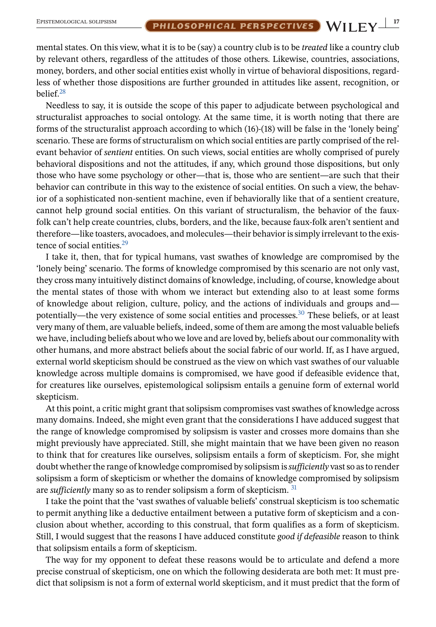mental states. On this view, what it is to be (say) a country club is to be *treated* like a country club by relevant others, regardless of the attitudes of those others. Likewise, countries, associations, money, borders, and other social entities exist wholly in virtue of behavioral dispositions, regardless of whether those dispositions are further grounded in attitudes like assent, recognition, or belief[.](#page-19-0) $28$ 

Needless to say, it is outside the scope of this paper to adjudicate between psychological and structuralist approaches to social ontology. At the same time, it is worth noting that there are forms of the structuralist approach according to which (16)-(18) will be false in the 'lonely being' scenario. These are forms of structuralism on which social entities are partly comprised of the relevant behavior of *sentient* entities. On such views, social entities are wholly comprised of purely behavioral dispositions and not the attitudes, if any, which ground those dispositions, but only those who have some psychology or other—that is, those who are sentient—are such that their behavior can contribute in this way to the existence of social entities. On such a view, the behavior of a sophisticated non-sentient machine, even if behaviorally like that of a sentient creature, cannot help ground social entities. On this variant of structuralism, the behavior of the fauxfolk can't help create countries, clubs, borders, and the like, because faux-folk aren't sentient and therefore—like toasters, avocadoes, and molecules—their behavior is simply irrelevant to the exis-tence of social entities[.](#page-19-0)<sup>29</sup>

I take it, then, that for typical humans, vast swathes of knowledge are compromised by the 'lonely being' scenario. The forms of knowledge compromised by this scenario are not only vast, they cross many intuitively distinct domains of knowledge, including, of course, knowledge about the mental states of those with whom we interact but extending also to at least some forms of knowledge about religion, culture, policy, and the actions of individuals and groups and potentially—the very existence of some social entities and processes[.](#page-19-0)30 These beliefs, or at least very many of them, are valuable beliefs, indeed, some of them are among the most valuable beliefs we have, including beliefs about who we love and are loved by, beliefs about our commonality with other humans, and more abstract beliefs about the social fabric of our world. If, as I have argued, external world skepticism should be construed as the view on which vast swathes of our valuable knowledge across multiple domains is compromised, we have good if defeasible evidence that, for creatures like ourselves, epistemological solipsism entails a genuine form of external world skepticism.

At this point, a critic might grant that solipsism compromises vast swathes of knowledge across many domains. Indeed, she might even grant that the considerations I have adduced suggest that the range of knowledge compromised by solipsism is vaster and crosses more domains than she might previously have appreciated. Still, she might maintain that we have been given no reason to think that for creatures like ourselves, solipsism entails a form of skepticism. For, she might doubt whether the range of knowledge compromised by solipsism is*sufficiently* vast so as to render solipsism a form of skepticism or whether the domains of knowledge compromised by solipsism are *sufficiently* many so as to render solipsism a form of skepticism. <sup>31</sup>

I take the point that the 'vast swathes of valuable beliefs' construal skepticism is too schematic to permit anything like a deductive entailment between a putative form of skepticism and a conclusion about whether, according to this construal, that form qualifies as a form of skepticism. Still, I would suggest that the reasons I have adduced constitute *good if defeasible* reason to think that solipsism entails a form of skepticism.

The way for my opponent to defeat these reasons would be to articulate and defend a more precise construal of skepticism, one on which the following desiderata are both met: It must predict that solipsism is not a form of external world skepticism, and it must predict that the form of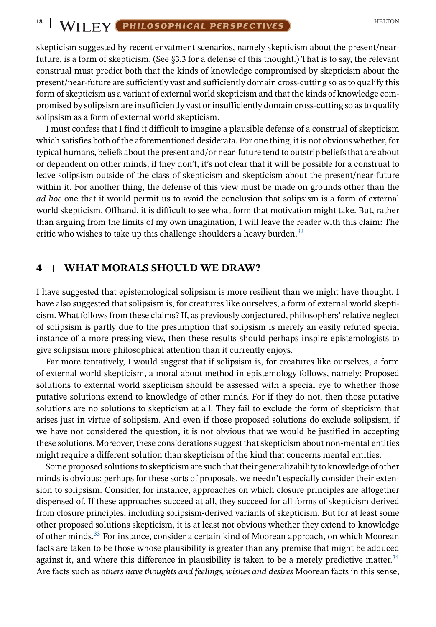skepticism suggested by recent envatment scenarios, namely skepticism about the present/nearfuture, is a form of skepticism. (See §3.3 for a defense of this thought.) That is to say, the relevant construal must predict both that the kinds of knowledge compromised by skepticism about the present/near-future are sufficiently vast and sufficiently domain cross-cutting so as to qualify this form of skepticism as a variant of external world skepticism and that the kinds of knowledge compromised by solipsism are insufficiently vast or insufficiently domain cross-cutting so as to qualify solipsism as a form of external world skepticism.

I must confess that I find it difficult to imagine a plausible defense of a construal of skepticism which satisfies both of the aforementioned desiderata. For one thing, it is not obvious whether, for typical humans, beliefs about the present and/or near-future tend to outstrip beliefs that are about or dependent on other minds; if they don't, it's not clear that it will be possible for a construal to leave solipsism outside of the class of skepticism and skepticism about the present/near-future within it. For another thing, the defense of this view must be made on grounds other than the *ad hoc* one that it would permit us to avoid the conclusion that solipsism is a form of external world skepticism. Offhand, it is difficult to see what form that motivation might take. But, rather than arguing from the limits of my own imagination, I will leave the reader with this claim: The critic who wishes to take up this challenge shoulders a heavy burden[.](#page-19-0)<sup>32</sup>

#### **4 WHAT MORALS SHOULD WE DRAW?**

I have suggested that epistemological solipsism is more resilient than we might have thought. I have also suggested that solipsism is, for creatures like ourselves, a form of external world skepticism. What follows from these claims? If, as previously conjectured, philosophers' relative neglect of solipsism is partly due to the presumption that solipsism is merely an easily refuted special instance of a more pressing view, then these results should perhaps inspire epistemologists to give solipsism more philosophical attention than it currently enjoys.

Far more tentatively, I would suggest that if solipsism is, for creatures like ourselves, a form of external world skepticism, a moral about method in epistemology follows, namely: Proposed solutions to external world skepticism should be assessed with a special eye to whether those putative solutions extend to knowledge of other minds. For if they do not, then those putative solutions are no solutions to skepticism at all. They fail to exclude the form of skepticism that arises just in virtue of solipsism. And even if those proposed solutions do exclude solipsism, if we have not considered the question, it is not obvious that we would be justified in accepting these solutions. Moreover, these considerations suggest that skepticism about non-mental entities might require a different solution than skepticism of the kind that concerns mental entities.

Some proposed solutions to skepticism are such that their generalizability to knowledge of other minds is obvious; perhaps for these sorts of proposals, we needn't especially consider their extension to solipsism. Consider, for instance, approaches on which closure principles are altogether dispensed of. If these approaches succeed at all, they succeed for all forms of skepticism derived from closure principles, including solipsism-derived variants of skepticism. But for at least some other proposed solutions skepticism, it is at least not obvious whether they extend to knowledge of other minds[.](#page-19-0)<sup>33</sup> For instance, consider a certain kind of Moorean approach, on which Moorean facts are taken to be those whose plausibility is greater than any premise that might be adduced against it, and where this difference in plausibility is taken to be a merely predictive matter[.](#page-19-0) $34$ Are facts such as *others have thoughts and feelings, wishes and desires* Moorean facts in this sense,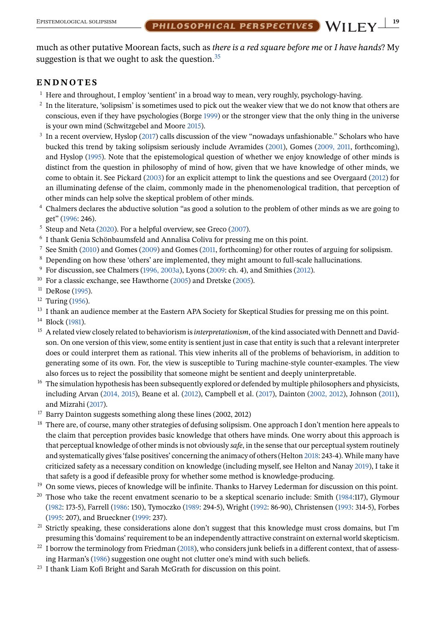<span id="page-18-0"></span>much as other putative Moorean facts, such as *there is a red square before me* or *I have hands*? My suggestion is that we ought to ask the question[.](#page-19-0)<sup>35</sup>

#### **ENDNOTES**

- $<sup>1</sup>$  Here and throughout, I employ 'sentient' in a broad way to mean, very roughly, psychology-having.</sup>
- $2\text{ In the literature, 'solipsis' is sometimes used to pick out the weaker view that we do not know that others are}$ conscious, even if they have psychologies (Borge [1999\)](#page-20-0) or the stronger view that the only thing in the universe is your own mind (Schwitzgebel and Moore [2015\)](#page-21-0).
- <sup>3</sup> In a recent overview, Hyslop [\(2017\)](#page-20-0) calls discussion of the view "nowadays unfashionable." Scholars who have bucked this trend by taking solipsism seriously include Avramides [\(2001\)](#page-20-0), Gomes [\(2009, 2011,](#page-20-0) forthcoming), and Hyslop [\(1995\)](#page-20-0). Note that the epistemological question of whether we enjoy knowledge of other minds is distinct from the question in philosophy of mind of how, given that we have knowledge of other minds, we come to obtain it. See Pickard [\(2003\)](#page-21-0) for an explicit attempt to link the questions and see Overgaard [\(2012\)](#page-21-0) for an illuminating defense of the claim, commonly made in the phenomenological tradition, that perception of other minds can help solve the skeptical problem of other minds.
- <sup>4</sup> Chalmers declares the abductive solution "as good a solution to the problem of other minds as we are going to get" [\(1996:](#page-20-0) 246).
- <sup>5</sup> Steup and Neta [\(2020\)](#page-21-0). For a helpful overview, see Greco [\(2007\)](#page-20-0).
- <sup>6</sup> I thank Genia Schönbaumsfeld and Annalisa Coliva for pressing me on this point.
- <sup>7</sup> See Smith [\(2010\)](#page-21-0) and Gomes [\(2009\)](#page-20-0) and Gomes [\(2011,](#page-20-0) forthcoming) for other routes of arguing for solipsism.
- <sup>8</sup> Depending on how these 'others' are implemented, they might amount to full-scale hallucinations.
- <sup>9</sup> For discussion, see Chalmers [\(1996, 2003a\)](#page-20-0), Lyons [\(2009:](#page-21-0) ch. 4), and Smithies [\(2012\)](#page-21-0).
- <sup>10</sup> For a classic exchange, see Hawthorne  $(2005)$  and Dretske  $(2005)$ .
- $11$  DeRose [\(1995\)](#page-20-0).
- <sup>12</sup> Turing [\(1956\)](#page-21-0).
- <sup>13</sup> I thank an audience member at the Eastern APA Society for Skeptical Studies for pressing me on this point.
- <sup>14</sup> Block [\(1981\)](#page-20-0).
- <sup>15</sup> A related view closely related to behaviorism is *interpretationism*, of the kind associated with Dennett and Davidson. On one version of this view, some entity is sentient just in case that entity is such that a relevant interpreter does or could interpret them as rational. This view inherits all of the problems of behaviorism, in addition to generating some of its own. For, the view is susceptible to Turing machine-style counter-examples. The view also forces us to reject the possibility that someone might be sentient and deeply uninterpretable.
- <sup>16</sup> The simulation hypothesis has been subsequently explored or defended by multiple philosophers and physicists, including Arvan [\(2014, 2015\)](#page-19-0), Beane et al. [\(2012\)](#page-20-0), Campbell et al. [\(2017\)](#page-20-0), Dainton [\(2002, 2012\)](#page-20-0), Johnson [\(2011\)](#page-20-0), and Mizrahi [\(2017\)](#page-21-0).
- $17$  Barry Dainton suggests something along these lines (2002, 2012)
- <sup>18</sup> There are, of course, many other strategies of defusing solipsism. One approach I don't mention here appeals to the claim that perception provides basic knowledge that others have minds. One worry about this approach is that perceptual knowledge of other minds is not obviously *safe*, in the sense that our perceptual system routinely and systematically gives 'false positives' concerning the animacy of others (Helton [2018:](#page-20-0) 243-4). While many have criticized safety as a necessary condition on knowledge (including myself, see Helton and Nanay [2019\)](#page-20-0), I take it that safety is a good if defeasible proxy for whether some method is knowledge-producing.
- <sup>19</sup> On some views, pieces of knowledge will be infinite. Thanks to Harvey Lederman for discussion on this point.
- <sup>20</sup> Those who take the recent envatment scenario to be a skeptical scenario include: Smith [\(1984:](#page-21-0)117), Glymour [\(1982:](#page-20-0) 173-5), Farrell [\(1986:](#page-20-0) 150), Tymoczko [\(1989:](#page-21-0) 294-5), Wright [\(1992:](#page-21-0) 86-90), Christensen [\(1993:](#page-20-0) 314-5), Forbes [\(1995:](#page-20-0) 207), and Brueckner [\(1999:](#page-20-0) 237).
- $21$  Strictly speaking, these considerations alone don't suggest that this knowledge must cross domains, but I'm presuming this 'domains' requirement to be an independently attractive constraint on external world skepticism.
- $^{22}$  I borrow the terminology from Friedman [\(2018\)](#page-20-0), who considers junk beliefs in a different context, that of assessing Harman's [\(1986\)](#page-20-0) suggestion one ought not clutter one's mind with such beliefs.
- $23$  I thank Liam Kofi Bright and Sarah McGrath for discussion on this point.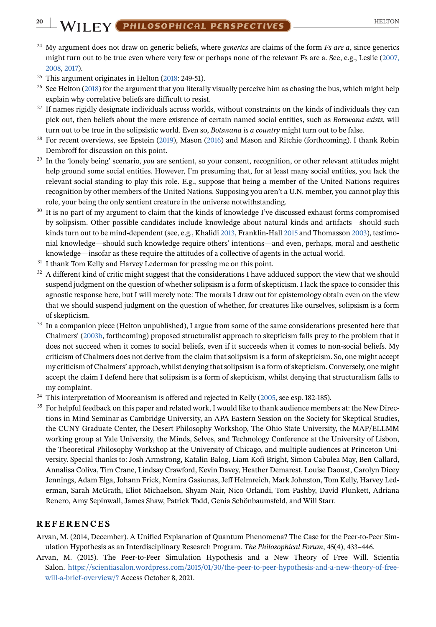## <span id="page-19-0"></span>**20** WII FY **PHILOSOPHICAL PERSPECTIVES**

- <sup>24</sup> My argument does not draw on generic beliefs, where *generics* are claims of the form *Fs are a*, since generics might turn out to be true even where very few or perhaps none of the relevant Fs are a. See, e.g., Leslie [\(2007,](#page-21-0) [2008,](#page-21-0) [2017\)](#page-21-0).
- <sup>25</sup> This argument originates in Helton  $(2018: 249-51)$  $(2018: 249-51)$ .
- See Helton [\(2018\)](#page-20-0) for the argument that you literally visually perceive him as chasing the bus, which might help explain why correlative beliefs are difficult to resist.
- $27$  If names rigidly designate individuals across worlds, without constraints on the kinds of individuals they can pick out, then beliefs about the mere existence of certain named social entities, such as *Botswana exists*, will turn out to be true in the solipsistic world. Even so, *Botswana is a country* might turn out to be false.
- <sup>28</sup> For recent overviews, see Epstein [\(2019\)](#page-20-0), Mason [\(2016\)](#page-21-0) and Mason and Ritchie (forthcoming). I thank Robin Dembroff for discussion on this point.
- <sup>29</sup> In the 'lonely being' scenario, *you* are sentient, so your consent, recognition, or other relevant attitudes might help ground some social entities. However, I'm presuming that, for at least many social entities, you lack the relevant social standing to play this role. E.g., suppose that being a member of the United Nations requires recognition by other members of the United Nations. Supposing you aren't a U.N. member, you cannot play this role, your being the only sentient creature in the universe notwithstanding.
- <sup>30</sup> It is no part of my argument to claim that the kinds of knowledge I've discussed exhaust forms compromised by solipsism. Other possible candidates include knowledge about natural kinds and artifacts—should such kinds turn out to be mind-dependent (see, e.g., Khalidi [2013,](#page-20-0) Franklin-Hall [2015](#page-20-0) and Thomasson [2003\)](#page-21-0), testimonial knowledge—should such knowledge require others' intentions—and even, perhaps, moral and aesthetic knowledge—insofar as these require the attitudes of a collective of agents in the actual world.
- <sup>31</sup> I thank Tom Kelly and Harvey Lederman for pressing me on this point.
- <sup>32</sup> A different kind of critic might suggest that the considerations I have adduced support the view that we should suspend judgment on the question of whether solipsism is a form of skepticism. I lack the space to consider this agnostic response here, but I will merely note: The morals I draw out for epistemology obtain even on the view that we should suspend judgment on the question of whether, for creatures like ourselves, solipsism is a form of skepticism.
- <sup>33</sup> In a companion piece (Helton unpublished), I argue from some of the same considerations presented here that Chalmers' [\(2003b,](#page-20-0) forthcoming) proposed structuralist approach to skepticism falls prey to the problem that it does not succeed when it comes to social beliefs, even if it succeeds when it comes to non-social beliefs. My criticism of Chalmers does not derive from the claim that solipsism is a form of skepticism. So, one might accept my criticism of Chalmers' approach, whilst denying that solipsism is a form of skepticism. Conversely, one might accept the claim I defend here that solipsism is a form of skepticism, whilst denying that structuralism falls to my complaint.
- <sup>34</sup> This interpretation of Mooreanism is offered and rejected in Kelly [\(2005,](#page-20-0) see esp. 182-185).
- <sup>35</sup> For helpful feedback on this paper and related work, I would like to thank audience members at: the New Directions in Mind Seminar as Cambridge University, an APA Eastern Session on the Society for Skeptical Studies, the CUNY Graduate Center, the Desert Philosophy Workshop, The Ohio State University, the MAP/ELLMM working group at Yale University, the Minds, Selves, and Technology Conference at the University of Lisbon, the Theoretical Philosophy Workshop at the University of Chicago, and multiple audiences at Princeton University. Special thanks to: Josh Armstrong, Katalin Balog, Liam Kofi Bright, Simon Cabulea May, Ben Callard, Annalisa Coliva, Tim Crane, Lindsay Crawford, Kevin Davey, Heather Demarest, Louise Daoust, Carolyn Dicey Jennings, Adam Elga, Johann Frick, Nemira Gasiunas, Jeff Helmreich, Mark Johnston, Tom Kelly, Harvey Lederman, Sarah McGrath, Eliot Michaelson, Shyam Nair, Nico Orlandi, Tom Pashby, David Plunkett, Adriana Renero, Amy Sepinwall, James Shaw, Patrick Todd, Genia Schönbaumsfeld, and Will Starr.

#### **REFERENCES**

- Arvan, M. (2014, December). A Unified Explanation of Quantum Phenomena? The Case for the Peer-to-Peer Simulation Hypothesis as an Interdisciplinary Research Program. *The Philosophical Forum*, 45(4), 433–446.
- Arvan, M. (2015). The Peer-to-Peer Simulation Hypothesis and a New Theory of Free Will. Scientia Salon. [https://scientiasalon.wordpress.com/2015/01/30/the-peer-to-peer-hypothesis-and-a-new-theory-of-free](https://scientiasalon.wordpress.com/2015/01/30/the-peer-to-peer-hypothesis-and-a-new-theory-of-free-will-a-brief-overview/%3F)[will-a-brief-overview/?](https://scientiasalon.wordpress.com/2015/01/30/the-peer-to-peer-hypothesis-and-a-new-theory-of-free-will-a-brief-overview/%3F) Access October 8, 2021.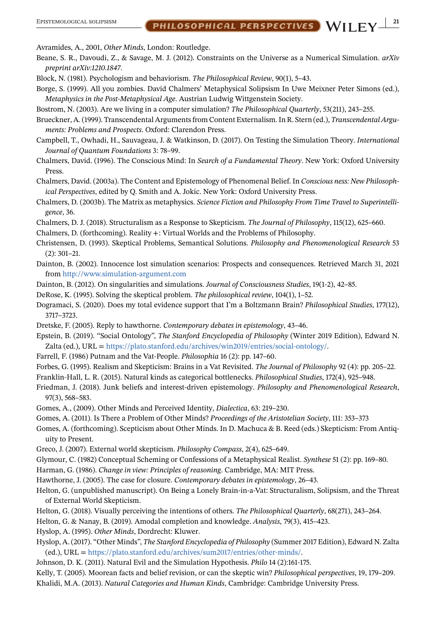<span id="page-20-0"></span>Epistemological solipsism **21**

- Avramides, A., 2001, *Other Minds*, London: Routledge.
- Beane, S. R., Davoudi, Z., & Savage, M. J. (2012). Constraints on the Universe as a Numerical Simulation. *arXiv preprint arXiv:1210.1847*.
- Block, N. (1981). Psychologism and behaviorism. *The Philosophical Review*, 90(1), 5–43.
- Borge, S. (1999). All you zombies. David Chalmers' Metaphysical Solipsism In Uwe Meixner Peter Simons (ed.), *Metaphysics in the Post-Metaphysical Age*. Austrian Ludwig Wittgenstein Society.
- Bostrom, N. (2003). Are we living in a computer simulation? *The Philosophical Quarterly*, 53(211), 243–255.
- Brueckner, A. (1999). Transcendental Arguments from Content Externalism. In R. Stern (ed.), *Transcendental Arguments: Problems and Prospects*. Oxford: Clarendon Press.
- Campbell, T., Owhadi, H., Sauvageau, J. & Watkinson, D. (2017). On Testing the Simulation Theory. *International Journal of Quantum Foundations* 3: 78–99.
- Chalmers, David. (1996). The Conscious Mind: In *Search of a Fundamental Theory*. New York: Oxford University Press.
- Chalmers, David. (2003a). The Content and Epistemology of Phenomenal Belief. In *Conscious ness: New Philosophical Perspectives*, edited by Q. Smith and A. Jokic. New York: Oxford University Press.
- Chalmers, D. (2003b). The Matrix as metaphysics. *Science Fiction and Philosophy From Time Travel to Superintelligence*, 36.
- Chalmers, D. J. (2018). Structuralism as a Response to Skepticism. *The Journal of Philosophy*, 115(12), 625–660.
- Chalmers, D. (forthcoming). Reality +: Virtual Worlds and the Problems of Philosophy.
- Christensen, D. (1993). Skeptical Problems, Semantical Solutions. *Philosophy and Phenomenological Research* 53 (2): 301–21.
- Dainton, B. (2002). Innocence lost simulation scenarios: Prospects and consequences. Retrieved March 31, 2021 from <http://www.simulation-argument.com>
- Dainton, B. (2012). On singularities and simulations. *Journal of Consciousness Studies*, 19(1-2), 42–85.
- DeRose, K. (1995). Solving the skeptical problem. *The philosophical review*, 104(1), 1–52.
- Dogramaci, S. (2020). Does my total evidence support that I'm a Boltzmann Brain? *Philosophical Studies*, 177(12), 3717–3723.
- Dretske, F. (2005). Reply to hawthorne. *Contemporary debates in epistemology*, 43–46.
- Epstein, B. (2019). "Social Ontology", *The Stanford Encyclopedia of Philosophy* (Winter 2019 Edition), Edward N. Zalta (ed.), URL = [https://plato.stanford.edu/archives/win2019/entries/social-ontology/.](https://plato.stanford.edu/archives/win2019/entries/social-ontology/)
- Farrell, F. (1986) Putnam and the Vat-People. *Philosophia* 16 (2): pp. 147–60.
- Forbes, G. (1995). Realism and Skepticism: Brains in a Vat Revisited. *The Journal of Philosophy* 92 (4): pp. 205–22.
- Franklin-Hall, L. R. (2015). Natural kinds as categorical bottlenecks. *Philosophical Studies*, 172(4), 925–948.
- Friedman, J. (2018). Junk beliefs and interest-driven epistemology. *Philosophy and Phenomenological Research*, 97(3), 568–583.
- Gomes, A., (2009). Other Minds and Perceived Identity, *Dialectica*, 63: 219–230.
- Gomes, A. (2011). Is There a Problem of Other Minds? *Proceedings of the Aristotelian Society*, 111: 353–373
- Gomes, A. (forthcoming). Scepticism about Other Minds. In D. Machuca & B. Reed (eds.) Skepticism: From Antiquity to Present.
- Greco, J. (2007). External world skepticism. *Philosophy Compass*, 2(4), 625–649.
- Glymour, C. (1982) Conceptual Scheming or Confessions of a Metaphysical Realist. *Synthese* 51 (2): pp. 169–80.
- Harman, G. (1986). *Change in view: Principles of reasoning*. Cambridge, MA: MIT Press.
- Hawthorne, J. (2005). The case for closure. *Contemporary debates in epistemology*, 26–43.
- Helton, G. (unpublished manuscript). On Being a Lonely Brain-in-a-Vat: Structuralism, Solipsism, and the Threat of External World Skepticism.
- Helton, G. (2018). Visually perceiving the intentions of others. *The Philosophical Quarterly*, 68(271), 243–264.
- Helton, G. & Nanay, B. (2019). Amodal completion and knowledge. *Analysis*, 79(3), 415–423.
- Hyslop, A. (1995). *Other Minds*, Dordrecht: Kluwer.
- Hyslop, A. (2017). "Other Minds", *The Stanford Encyclopedia of Philosophy* (Summer 2017 Edition), Edward N. Zalta (ed.), URL = [https://plato.stanford.edu/archives/sum2017/entries/other-minds/.](https://plato.stanford.edu/archives/sum2017/entries/other-minds/)
- Johnson, D. K. (2011). Natural Evil and the Simulation Hypothesis. *Philo* 14 (2):161-175.
- Kelly, T. (2005). Moorean facts and belief revision, or can the skeptic win? *Philosophical perspectives*, 19, 179–209.
- Khalidi, M.A. (2013). *Natural Categories and Human Kinds*, Cambridge: Cambridge University Press.